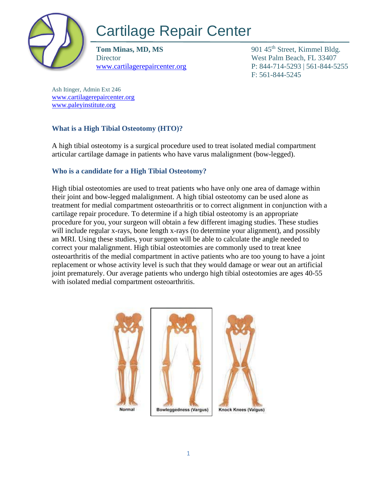

# Cartilage Repair Center

**Tom Minas, MD, MS** 901 45<sup>th</sup> Street, Kimmel Bldg. Director West Palm Beach, FL 33407

[www.cartilagerepaircenter.org](http://www.cartilagerepaircenter.org/) P: 844-714-5293 | 561-844-5255 F: 561-844-5245

Ash Itinger, Admin Ext 246 [www.cartilagerepaircenter.org](about:blank) [www.paleyinstitute.org](about:blank)

## **What is a High Tibial Osteotomy (HTO)?**

A high tibial osteotomy is a surgical procedure used to treat isolated medial compartment articular cartilage damage in patients who have varus malalignment (bow-legged).

## **Who is a candidate for a High Tibial Osteotomy?**

High tibial osteotomies are used to treat patients who have only one area of damage within their joint and bow-legged malalignment. A high tibial osteotomy can be used alone as treatment for medial compartment osteoarthritis or to correct alignment in conjunction with a cartilage repair procedure. To determine if a high tibial osteotomy is an appropriate procedure for you, your surgeon will obtain a few different imaging studies. These studies will include regular x-rays, bone length x-rays (to determine your alignment), and possibly an MRI. Using these studies, your surgeon will be able to calculate the angle needed to correct your malalignment. High tibial osteotomies are commonly used to treat knee osteoarthritis of the medial compartment in active patients who are too young to have a joint replacement or whose activity level is such that they would damage or wear out an artificial joint prematurely. Our average patients who undergo high tibial osteotomies are ages 40-55 with isolated medial compartment osteoarthritis.

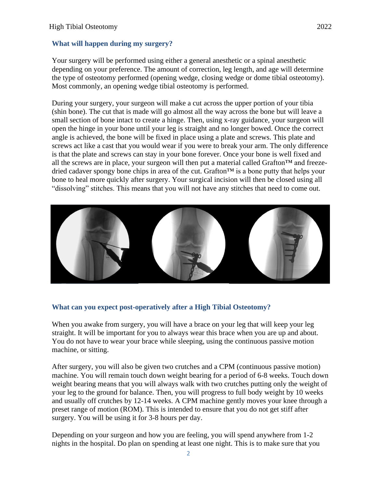#### **What will happen during my surgery?**

Your surgery will be performed using either a general anesthetic or a spinal anesthetic depending on your preference. The amount of correction, leg length, and age will determine the type of osteotomy performed (opening wedge, closing wedge or dome tibial osteotomy). Most commonly, an opening wedge tibial osteotomy is performed.

During your surgery, your surgeon will make a cut across the upper portion of your tibia (shin bone). The cut that is made will go almost all the way across the bone but will leave a small section of bone intact to create a hinge. Then, using x-ray guidance, your surgeon will open the hinge in your bone until your leg is straight and no longer bowed. Once the correct angle is achieved, the bone will be fixed in place using a plate and screws. This plate and screws act like a cast that you would wear if you were to break your arm. The only difference is that the plate and screws can stay in your bone forever. Once your bone is well fixed and all the screws are in place, your surgeon will then put a material called Grafton™ and freezedried cadaver spongy bone chips in area of the cut. Grafton™ is a bone putty that helps your bone to heal more quickly after surgery. Your surgical incision will then be closed using all "dissolving" stitches. This means that you will not have any stitches that need to come out.



#### **What can you expect post-operatively after a High Tibial Osteotomy?**

When you awake from surgery, you will have a brace on your leg that will keep your leg straight. It will be important for you to always wear this brace when you are up and about. You do not have to wear your brace while sleeping, using the continuous passive motion machine, or sitting.

After surgery, you will also be given two crutches and a CPM (continuous passive motion) machine. You will remain touch down weight bearing for a period of 6-8 weeks. Touch down weight bearing means that you will always walk with two crutches putting only the weight of your leg to the ground for balance. Then, you will progress to full body weight by 10 weeks and usually off crutches by 12-14 weeks. A CPM machine gently moves your knee through a preset range of motion (ROM). This is intended to ensure that you do not get stiff after surgery. You will be using it for 3-8 hours per day.

Depending on your surgeon and how you are feeling, you will spend anywhere from 1-2 nights in the hospital. Do plan on spending at least one night. This is to make sure that you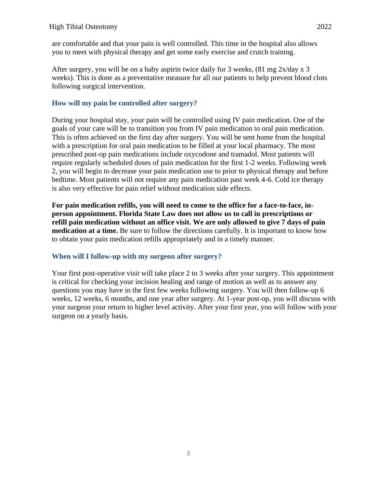are comfortable and that your pain is well controlled. This time in the hospital also allows you to meet with physical therapy and get some early exercise and crutch training.

After surgery, you will be on a baby aspirin twice daily for 3 weeks,  $(81 \text{ mg } 2x/\text{day } x \text{ 3})$ weeks). This is done as a preventative measure for all our patients to help prevent blood clots following surgical intervention.

## **How will my pain be controlled after surgery?**

During your hospital stay, your pain will be controlled using IV pain medication. One of the goals of your care will be to transition you from IV pain medication to oral pain medication. This is often achieved on the first day after surgery. You will be sent home from the hospital with a prescription for oral pain medication to be filled at your local pharmacy. The most prescribed post-op pain medications include oxycodone and tramadol. Most patients will require regularly scheduled doses of pain medication for the first 1-2 weeks. Following week 2, you will begin to decrease your pain medication use to prior to physical therapy and before bedtime. Most patients will not require any pain medication past week 4-6. Cold ice therapy is also very effective for pain relief without medication side effects.

**For pain medication refills, you will need to come to the office for a face-to-face, inperson appointment. Florida State Law does not allow us to call in prescriptions or refill pain medication without an office visit. We are only allowed to give 7 days of pain medication at a time.** Be sure to follow the directions carefully. It is important to know how to obtain your pain medication refills appropriately and in a timely manner.

## **When will I follow-up with my surgeon after surgery?**

Your first post-operative visit will take place 2 to 3 weeks after your surgery. This appointment is critical for checking your incision healing and range of motion as well as to answer any questions you may have in the first few weeks following surgery. You will then follow-up 6 weeks, 12 weeks, 6 months, and one year after surgery. At 1-year post-op, you will discuss with your surgeon your return to higher level activity. After your first year, you will follow with your surgeon on a yearly basis.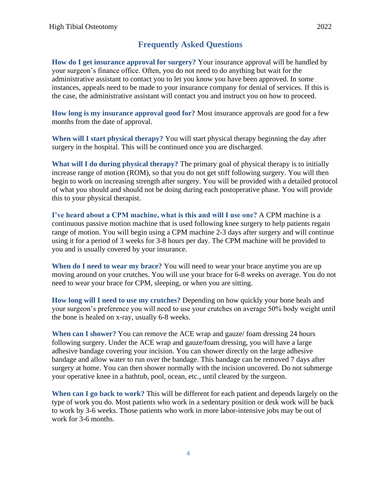## **Frequently Asked Questions**

**How do I get insurance approval for surgery?** Your insurance approval will be handled by your surgeon's finance office. Often, you do not need to do anything but wait for the administrative assistant to contact you to let you know you have been approved. In some instances, appeals need to be made to your insurance company for denial of services. If this is the case, the administrative assistant will contact you and instruct you on how to proceed.

**How long is my insurance approval good for?** Most insurance approvals are good for a few months from the date of approval.

**When will I start physical therapy?** You will start physical therapy beginning the day after surgery in the hospital. This will be continued once you are discharged.

**What will I do during physical therapy?** The primary goal of physical therapy is to initially increase range of motion (ROM), so that you do not get stiff following surgery. You will then begin to work on increasing strength after surgery. You will be provided with a detailed protocol of what you should and should not be doing during each postoperative phase. You will provide this to your physical therapist.

**I've heard about a CPM machine, what is this and will I use one?** A CPM machine is a continuous passive motion machine that is used following knee surgery to help patients regain range of motion. You will begin using a CPM machine 2-3 days after surgery and will continue using it for a period of 3 weeks for 3-8 hours per day. The CPM machine will be provided to you and is usually covered by your insurance.

**When do I need to wear my brace?** You will need to wear your brace anytime you are up moving around on your crutches. You will use your brace for 6-8 weeks on average. You do not need to wear your brace for CPM, sleeping, or when you are sitting.

**How long will I need to use my crutches?** Depending on how quickly your bone heals and your surgeon's preference you will need to use your crutches on average 50% body weight until the bone is healed on x-ray, usually 6-8 weeks.

**When can I shower?** You can remove the ACE wrap and gauze/ foam dressing 24 hours following surgery. Under the ACE wrap and gauze/foam dressing, you will have a large adhesive bandage covering your incision. You can shower directly on the large adhesive bandage and allow water to run over the bandage. This bandage can be removed 7 days after surgery at home. You can then shower normally with the incision uncovered. Do not submerge your operative knee in a bathtub, pool, ocean, etc., until cleared by the surgeon.

**When can I go back to work?** This will be different for each patient and depends largely on the type of work you do. Most patients who work in a sedentary position or desk work will be back to work by 3-6 weeks. Those patients who work in more labor-intensive jobs may be out of work for 3-6 months.